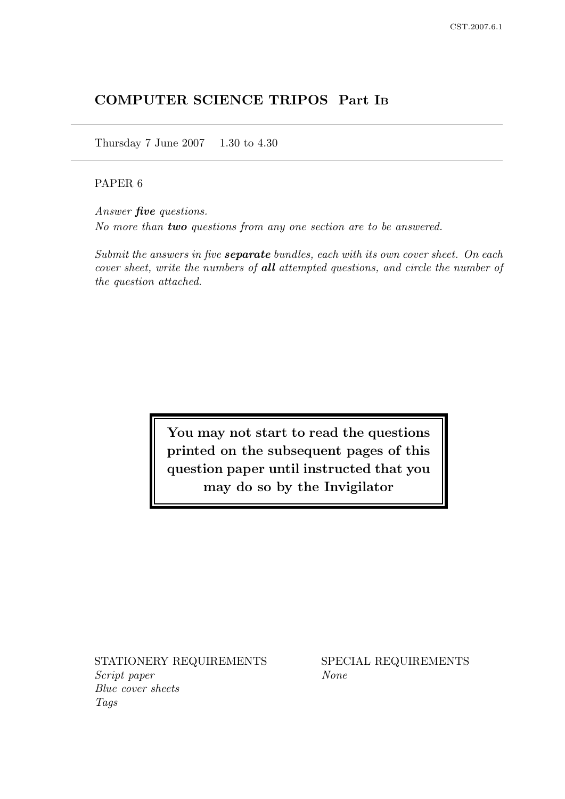# COMPUTER SCIENCE TRIPOS Part I<sup>B</sup>

Thursday 7 June 2007 1.30 to 4.30

## PAPER 6

Answer five questions. No more than two questions from any one section are to be answered.

Submit the answers in five **separate** bundles, each with its own cover sheet. On each cover sheet, write the numbers of all attempted questions, and circle the number of the question attached.

> You may not start to read the questions printed on the subsequent pages of this question paper until instructed that you may do so by the Invigilator

STATIONERY REQUIREMENTS SPECIAL REQUIREMENTS Script paper None Blue cover sheets Tags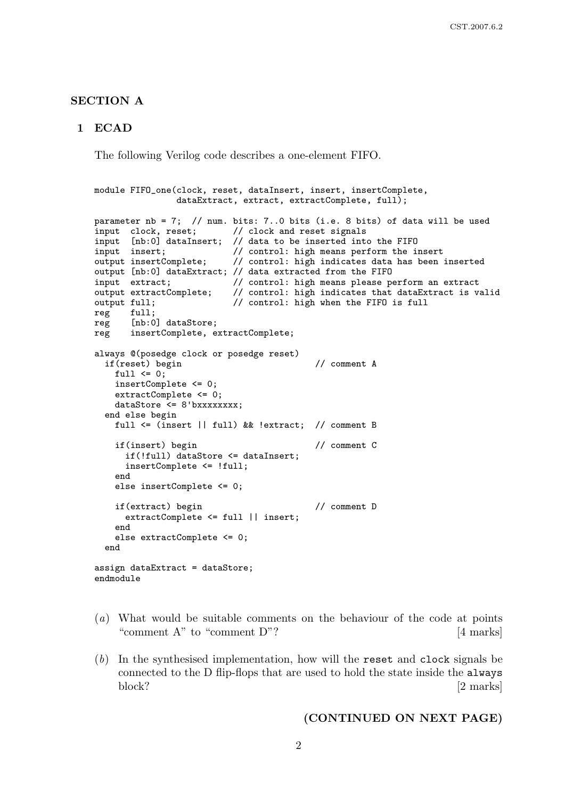#### SECTION A

#### 1 ECAD

The following Verilog code describes a one-element FIFO.

```
module FIFO_one(clock, reset, dataInsert, insert, insertComplete,
               dataExtract, extract, extractComplete, full);
parameter nb = 7; // num. bits: 7..0 bits (i.e. 8 bits) of data will be used
input clock, reset; // clock and reset signals
input [nb:0] dataInsert; // data to be inserted into the FIFO
input insert; // control: high means perform the insert
output insertComplete; // control: high indicates data has been inserted
output [nb:0] dataExtract; // data extracted from the FIFO
input extract; \frac{1}{2} // control: high means please perform an extract
output extractComplete; // control: high indicates that dataExtract is valid<br>output full; // control: high when the FIFO is full
                          // control: high when the FIFO is full
reg full;
reg [nb:0] dataStore;
reg insertComplete, extractComplete;
always @(posedge clock or posedge reset)
 if(reset) begin // comment A
   full \leq 0;
   insertComplete <= 0;
   extractComplete <= 0;
   dataStore <= 8'bxxxxxxxx;
 end else begin
   full <= (insert || full) && !extract; // comment B
   if(insert) begin // comment C
     if(!full) dataStore <= dataInsert;
     insertComplete <= !full;
   end
   else insertComplete <= 0;
   if(extract) begin // comment D
     extractComplete <= full || insert;
   end
   else extractComplete <= 0;
  end
assign dataExtract = dataStore;
endmodule
```
- (a) What would be suitable comments on the behaviour of the code at points "comment A" to "comment D"? [4 marks]
- (b) In the synthesised implementation, how will the reset and clock signals be connected to the D flip-flops that are used to hold the state inside the always block? [2 marks]

#### (CONTINUED ON NEXT PAGE)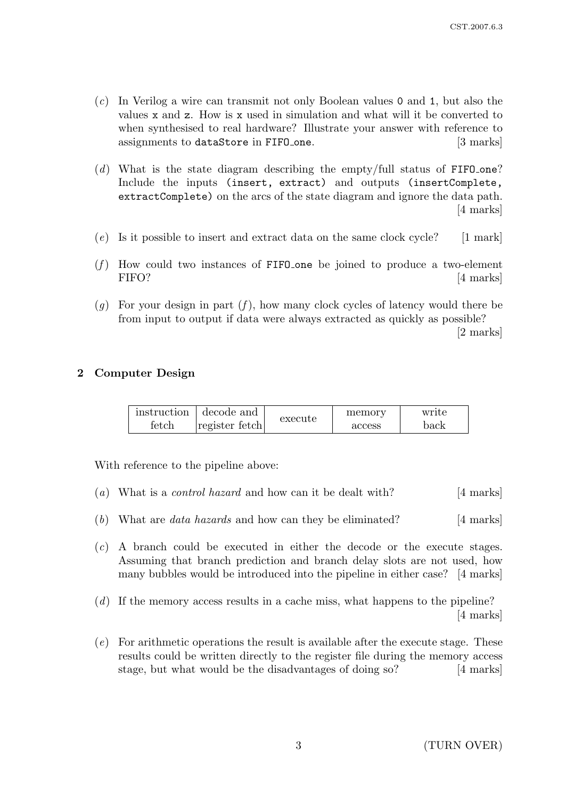- (c) In Verilog a wire can transmit not only Boolean values 0 and 1, but also the values x and z. How is x used in simulation and what will it be converted to when synthesised to real hardware? Illustrate your answer with reference to assignments to dataStore in FIFO one. [3 marks]
- (d) What is the state diagram describing the empty/full status of  $FIFO-one$ ? Include the inputs (insert, extract) and outputs (insertComplete, extractComplete) on the arcs of the state diagram and ignore the data path. [4 marks]
- $(e)$  Is it possible to insert and extract data on the same clock cycle? [1 mark]
- $(f)$  How could two instances of FIFO one be joined to produce a two-element FIFO? [4 marks]
- (g) For your design in part  $(f)$ , how many clock cycles of latency would there be from input to output if data were always extracted as quickly as possible? [2 marks]

## 2 Computer Design

| instruction | decode and           | execute | memory | write |
|-------------|----------------------|---------|--------|-------|
| fetch       | $ register\; fetch $ |         | access | back  |

With reference to the pipeline above:

- (a) What is a *control hazard* and how can it be dealt with? [4 marks]
- (b) What are *data hazards* and how can they be eliminated?  $[4 \text{ marks}]$
- (c) A branch could be executed in either the decode or the execute stages. Assuming that branch prediction and branch delay slots are not used, how many bubbles would be introduced into the pipeline in either case? [4 marks]
- (d) If the memory access results in a cache miss, what happens to the pipeline? [4 marks]
- (e) For arithmetic operations the result is available after the execute stage. These results could be written directly to the register file during the memory access stage, but what would be the disadvantages of doing so? [4 marks]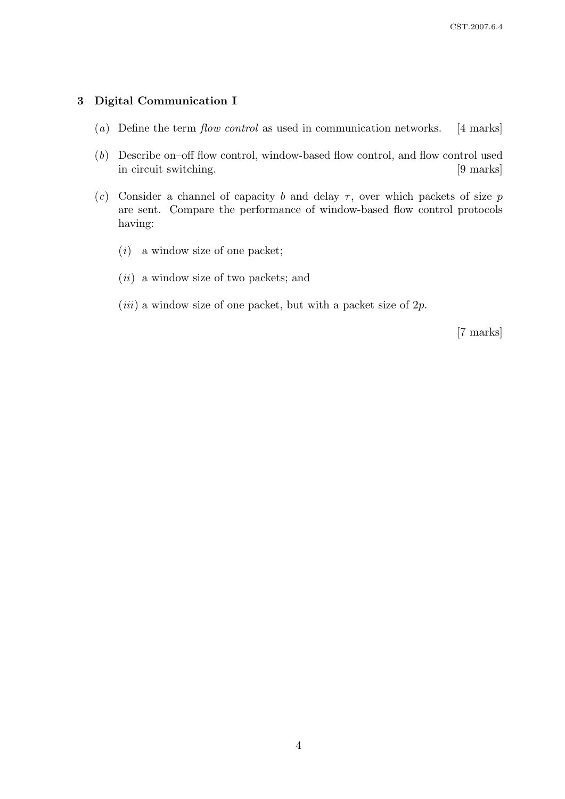## 3 Digital Communication I

- (a) Define the term flow control as used in communication networks. [4 marks]
- (b) Describe on–off flow control, window-based flow control, and flow control used in circuit switching. [9 marks]
- (c) Consider a channel of capacity b and delay  $\tau$ , over which packets of size p are sent. Compare the performance of window-based flow control protocols having:
	- $(i)$  a window size of one packet;
	- $(ii)$  a window size of two packets; and
	- $(iii)$  a window size of one packet, but with a packet size of 2p.

[7 marks]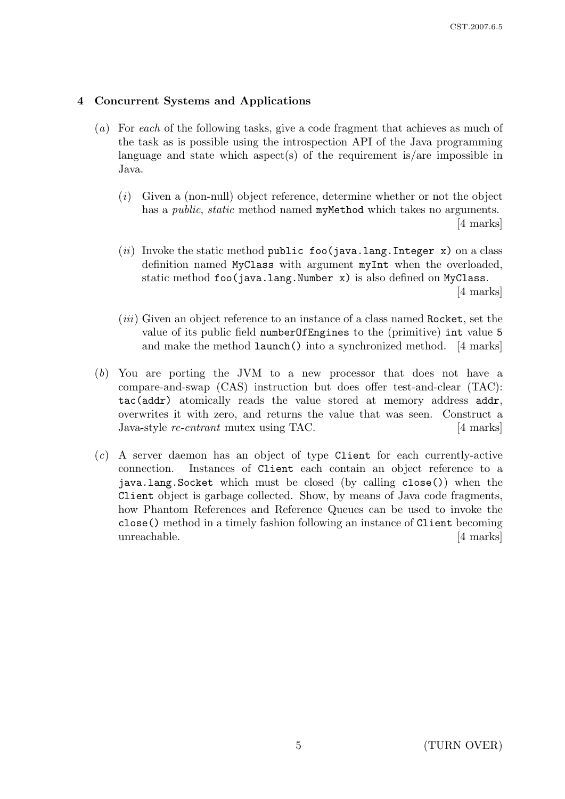## 4 Concurrent Systems and Applications

- (a) For each of the following tasks, give a code fragment that achieves as much of the task as is possible using the introspection API of the Java programming language and state which aspect(s) of the requirement is/are impossible in Java.
	- $(i)$  Given a (non-null) object reference, determine whether or not the object has a *public*, *static* method named myMethod which takes no arguments. [4 marks]
	- (*ii*) Invoke the static method public foo(java.lang.Integer x) on a class definition named MyClass with argument myInt when the overloaded, static method foo(java.lang.Number x) is also defined on MyClass. [4 marks]
	- (iii) Given an object reference to an instance of a class named Rocket, set the value of its public field numberOfEngines to the (primitive) int value 5 and make the method launch() into a synchronized method. [4 marks]
- (b) You are porting the JVM to a new processor that does not have a compare-and-swap (CAS) instruction but does offer test-and-clear (TAC): tac(addr) atomically reads the value stored at memory address addr, overwrites it with zero, and returns the value that was seen. Construct a Java-style re-entrant mutex using TAC. [4 marks]
- (c) A server daemon has an object of type Client for each currently-active connection. Instances of Client each contain an object reference to a java.lang.Socket which must be closed (by calling close()) when the Client object is garbage collected. Show, by means of Java code fragments, how Phantom References and Reference Queues can be used to invoke the close() method in a timely fashion following an instance of Client becoming unreachable. [4 marks]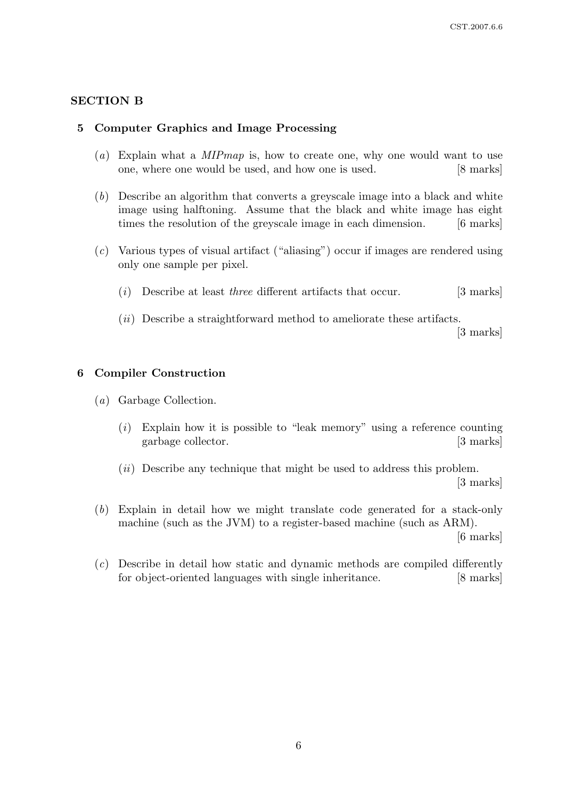## SECTION B

### 5 Computer Graphics and Image Processing

- (a) Explain what a  $MIPmap$  is, how to create one, why one would want to use one, where one would be used, and how one is used. [8 marks]
- (b) Describe an algorithm that converts a greyscale image into a black and white image using halftoning. Assume that the black and white image has eight times the resolution of the greyscale image in each dimension. [6 marks]
- (c) Various types of visual artifact ("aliasing") occur if images are rendered using only one sample per pixel.
	- $(i)$  Describe at least *three* different artifacts that occur. [3 marks]
	- (ii) Describe a straightforward method to ameliorate these artifacts.

[3 marks]

#### 6 Compiler Construction

- (a) Garbage Collection.
	- $(i)$  Explain how it is possible to "leak memory" using a reference counting garbage collector. [3 marks]
	- $(ii)$  Describe any technique that might be used to address this problem. [3 marks]
- (b) Explain in detail how we might translate code generated for a stack-only machine (such as the JVM) to a register-based machine (such as ARM).

[6 marks]

(c) Describe in detail how static and dynamic methods are compiled differently for object-oriented languages with single inheritance. [8 marks]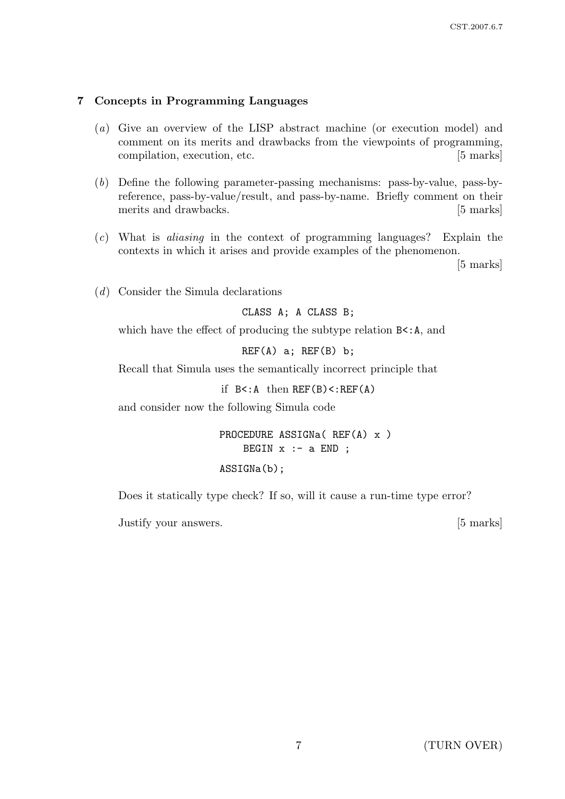## 7 Concepts in Programming Languages

- (a) Give an overview of the LISP abstract machine (or execution model) and comment on its merits and drawbacks from the viewpoints of programming, compilation, execution, etc. [5 marks]
- (b) Define the following parameter-passing mechanisms: pass-by-value, pass-byreference, pass-by-value/result, and pass-by-name. Briefly comment on their merits and drawbacks. [5 marks]
- (c) What is aliasing in the context of programming languages? Explain the contexts in which it arises and provide examples of the phenomenon.

[5 marks]

(d) Consider the Simula declarations

CLASS A; A CLASS B;

which have the effect of producing the subtype relation  $B\leq A$ , and

 $REF(A)$  a;  $REF(B)$  b;

Recall that Simula uses the semantically incorrect principle that

if  $B < A$  then  $REF(B) < EEF(A)$ 

and consider now the following Simula code

PROCEDURE ASSIGNa( REF(A) x ) BEGIN  $x : -a$  END ;

### ASSIGNa(b);

Does it statically type check? If so, will it cause a run-time type error?

Justify your answers. [5 marks]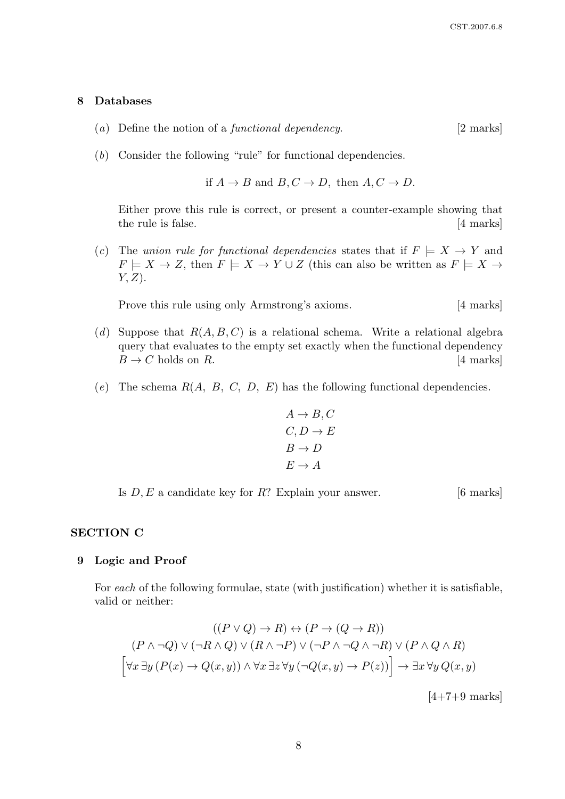#### 8 Databases

- (a) Define the notion of a *functional dependency*.  $[2 \text{ marks}]$
- (b) Consider the following "rule" for functional dependencies.

if 
$$
A \rightarrow B
$$
 and  $B, C \rightarrow D$ , then  $A, C \rightarrow D$ .

Either prove this rule is correct, or present a counter-example showing that the rule is false. [4 marks]

(c) The union rule for functional dependencies states that if  $F \models X \rightarrow Y$  and  $F \models X \to Z$ , then  $F \models X \to Y \cup Z$  (this can also be written as  $F \models X \to Z$  $Y, Z$ ).

Prove this rule using only Armstrong's axioms. [4 marks]

- (d) Suppose that  $R(A, B, C)$  is a relational schema. Write a relational algebra query that evaluates to the empty set exactly when the functional dependency  $B \to C$  holds on R. [4 marks]
- (e) The schema  $R(A, B, C, D, E)$  has the following functional dependencies.

$$
A \to B, C
$$
  

$$
C, D \to E
$$
  

$$
B \to D
$$
  

$$
E \to A
$$

Is  $D, E$  a candidate key for  $R$ ? Explain your answer. [6 marks]

#### SECTION C

#### 9 Logic and Proof

For each of the following formulae, state (with justification) whether it is satisfiable, valid or neither:

$$
((P \lor Q) \to R) \leftrightarrow (P \to (Q \to R))
$$
  

$$
(P \land \neg Q) \lor (\neg R \land Q) \lor (R \land \neg P) \lor (\neg P \land \neg Q \land \neg R) \lor (P \land Q \land R)
$$
  

$$
[\forall x \exists y (P(x) \to Q(x, y)) \land \forall x \exists z \forall y (\neg Q(x, y) \to P(z))] \to \exists x \forall y Q(x, y)
$$

 $[4+7+9$  marks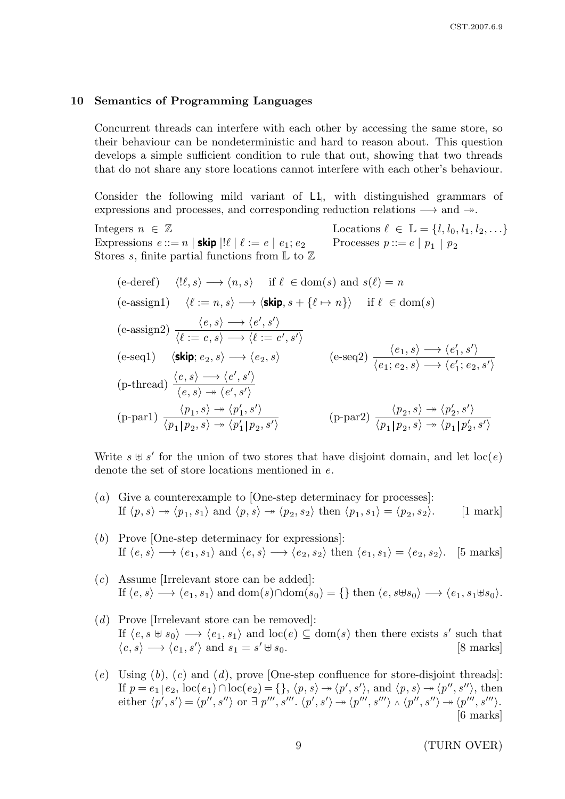#### 10 Semantics of Programming Languages

Concurrent threads can interfere with each other by accessing the same store, so their behaviour can be nondeterministic and hard to reason about. This question develops a simple sufficient condition to rule that out, showing that two threads that do not share any store locations cannot interfere with each other's behaviour.

Consider the following mild variant of L1, with distinguished grammars of expressions and processes, and corresponding reduction relations  $\longrightarrow$  and  $\rightarrow$ .

Integers  $n \in \mathbb{Z}$  Locations  $\ell \in \mathbb{L} = \{l, l_0, l_1, l_2, \ldots\}$ Expressions  $e ::= n | \textsf{skip} |! \ell | \ell := e | e_1; e_2$ Processes  $p ::= e | p_1 | p_2$ Stores s, finite partial functions from  $\mathbb L$  to  $\mathbb Z$ 

(e-deref) 
$$
\langle l\ell, s \rangle \longrightarrow \langle n, s \rangle
$$
 if  $\ell \in \text{dom}(s)$  and  $s(\ell) = n$   
\n(e-assign1)  $\langle \ell := n, s \rangle \longrightarrow \langle \textbf{skip}, s + \{\ell \mapsto n\} \rangle$  if  $\ell \in \text{dom}(s)$   
\n(e-assign2)  $\frac{\langle e, s \rangle \longrightarrow \langle e', s' \rangle}{\langle \ell := e, s \rangle \longrightarrow \langle \ell := e', s' \rangle}$   
\n(e-seq1)  $\langle \textbf{skip}; e_2, s \rangle \longrightarrow \langle e_2, s \rangle$  (e-seq2)  $\frac{\langle e_1, s \rangle \longrightarrow \langle e'_1, s' \rangle}{\langle e_1; e_2, s \rangle \longrightarrow \langle e'_1; e_2, s' \rangle}$   
\n(p-thread)  $\frac{\langle e, s \rangle \longrightarrow \langle e', s' \rangle}{\langle e, s \rangle \longrightarrow \langle e', s' \rangle}$   
\n(p-par1)  $\frac{\langle p_1, s \rangle \longrightarrow \langle p'_1, s' \rangle}{\langle p_1 | p_2, s \rangle \longrightarrow \langle p'_1 | p_2, s' \rangle}$  (p-par2)  $\frac{\langle p_2, s \rangle \longrightarrow \langle p'_2, s' \rangle}{\langle p_1 | p_2, s \rangle \longrightarrow \langle p_1 | p'_2, s' \rangle}$ 

Write  $s \oplus s'$  for the union of two stores that have disjoint domain, and let  $\text{loc}(e)$ denote the set of store locations mentioned in e.

- (a) Give a counterexample to [One-step determinacy for processes]: If  $\langle p, s \rangle \rightarrow \langle p_1, s_1 \rangle$  and  $\langle p, s \rangle \rightarrow \langle p_2, s_2 \rangle$  then  $\langle p_1, s_1 \rangle = \langle p_2 \rangle$  $\left[1 \text{ mark}\right]$
- (b) Prove [One-step determinacy for expressions]: If  $\langle e, s \rangle \longrightarrow \langle e_1, s_1 \rangle$  and  $\langle e, s \rangle \longrightarrow \langle e_2, s_2 \rangle$  then  $\langle e_1, s_1 \rangle = \langle e_2, s_2 \rangle$ . [5 marks]
- (c) Assume [Irrelevant store can be added]: If  $\langle e, s \rangle \longrightarrow \langle e_1, s_1 \rangle$  and  $\text{dom}(s) \cap \text{dom}(s_0) = \{\}$  then  $\langle e, s \uplus s_0 \rangle \longrightarrow \langle e_1, s_1 \uplus s_0 \rangle$ .
- (d) Prove [Irrelevant store can be removed]: If  $\langle e, s \uplus s_0 \rangle \longrightarrow \langle e_1, s_1 \rangle$  and  $\text{loc}(e) \subseteq \text{dom}(s)$  then there exists s' such that  $\langle e, s \rangle \longrightarrow \langle e_1, s' \rangle$  and  $s_1 = s$  $\left[8 \text{ marks}\right]$
- $(e)$  Using  $(b)$ ,  $(c)$  and  $(d)$ , prove [One-step confluence for store-disjoint threads]: If  $p = e_1 | e_2$ ,  $\text{loc}(e_1) \cap \text{loc}(e_2) = \{\}, \langle p, s \rangle \rightarrow \langle p', s' \rangle$ , and  $\langle p, s \rangle \rightarrow \langle p'', s'' \rangle$ , then either  $\langle p', s' \rangle = \langle p'', s'' \rangle$  or  $\exists p''', s'''', \langle p', s' \rangle \rightarrow \langle p''', s''' \rangle \wedge \langle p'', s'' \rangle \rightarrow \langle p''', s''' \rangle$ . [6 marks]

9 (TURN OVER)